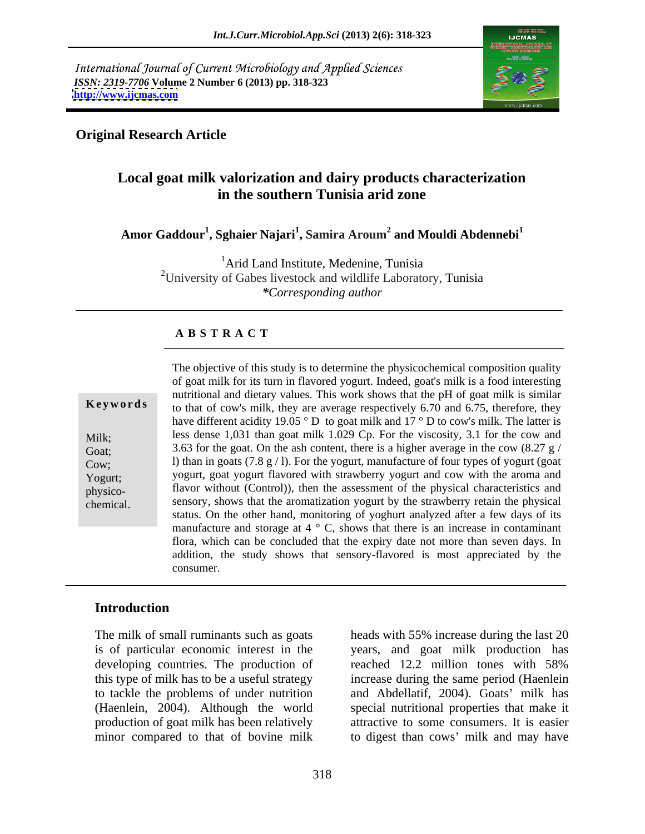International Journal of Current Microbiology and Applied Sciences *ISSN: 2319-7706* **Volume 2 Number 6 (2013) pp. 318-323 <http://www.ijcmas.com>**



## **Original Research Article**

# **Local goat milk valorization and dairy products characterization in the southern Tunisia arid zone**

**Amor Gaddour<sup>1</sup> , Sghaier Najari<sup>1</sup> , Samira Aroum<sup>2</sup> and Mouldi Abdennebi<sup>1</sup>**

<sup>1</sup>Arid Land Institute, Medenine, Tunisia <sup>2</sup>University of Gabes livestock and wildlife Laboratory, Tunisia *\*Corresponding author*

### **A B S T R A C T**

(2.1% versus 84.6%) with the around and total milk of the total characteristics and production, respectively), the worldwide control, the aromatization yogurt by the strawberry retain the physical sensory, shows that the aromatization yogurt by the strawberry retain the physical goat population. The material interaction of yoghire y and statute end of program and program status. On the other hand, monitoring of yoghurt analyzed after a few days of its **Keywords** to that of cow's milk, they are average respectively 6.70 and 6.75, therefore, they Milk; less dense 1,031 than goat milk 1.029 Cp. For the viscosity, 3.1 for the cow and Goat; 3.63 for the goat. On the ash content, there is a higher average in the cow  $(8.27 \text{ g})$ Cow; l) than in goats  $(7.8 \text{ g} / 1)$ . For the yogurt, manufacture of four types of yogurt (goat Yogurt; yogurt, goat yogurt flavored with strawberry yogurt and cow with the aroma and physico- flavor without (Control)), then the assessment of the physical characteristics and The objective of this study is to determine the physicochemical composition quality of goat milk for its turn in flavored yogurt. Indeed, goat's milk is a food interesting nutritional and dietary values. This work shows that the pH of goat milk is similar have different acidity 19.05 ° D to goat milk and 17 ° D to cow's milk. The latter is manufacture and storage at  $4 \degree$  C, shows that there is an increase in contaminant flora, which can be concluded that the expiry date not more than seven days. In addition, the study shows that sensory-flavored is most appreciated by the consumer.

### **Introduction**

developing countries. The production of reached 12.2 million tones with 58%

The milk of small ruminants such as goats heads with 55% increase during the last 20 is of particular economic interest in the years, and goat milk production has this type of milk has to be a useful strategy increase during the same period (Haenlein to tackle the problems of under nutrition and Abdellatif, 2004). Goats' milk has (Haenlein, 2004). Although the world special nutritional properties that make it production of goat milk has been relatively attractive to some consumers. It is easier minor compared to that of bovine milk to digest than cows' milk and may have reached 12.2 million tones with 58%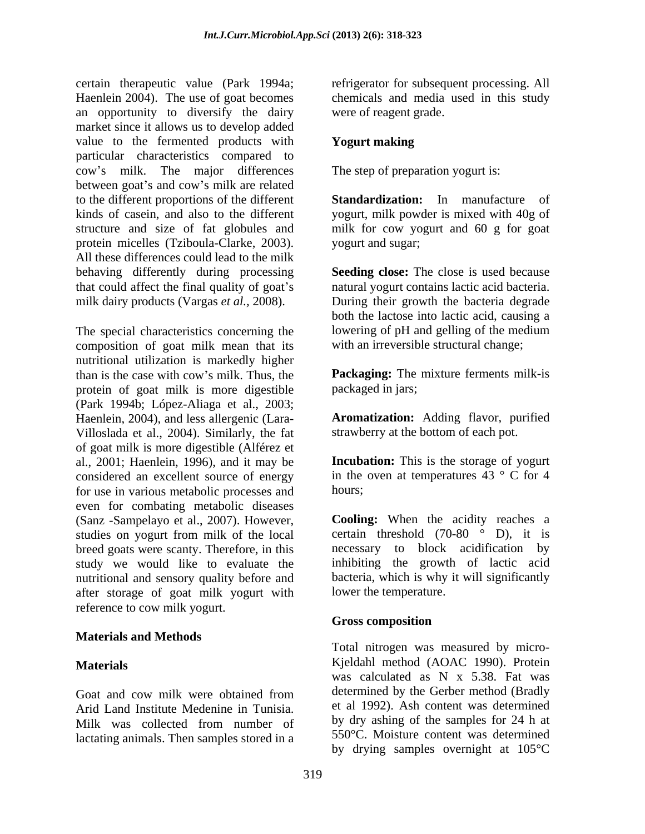certain therapeutic value (Park 1994a; refrigerator for subsequent processing. All Haenlein 2004). The use of goat becomes chemicals and media used in this study an opportunity to diversify the dairy market since it allows us to develop added value to the fermented products with Yogurt making particular characteristics compared to cow s milk. The major differences between goat's and cow's milk are related to the different proportions of the different **Standardization:** In manufacture of kinds of casein, and also to the different yogurt, milk powder is mixed with 40g of structure and size of fat globules and milk for cow yogurt and 60 g for goat protein micelles (Tziboula-Clarke, 2003). All these differences could lead to the milk behaving differently during processing **Seeding close:** The close is used because that could affect the final quality of goat's milk dairy products (Vargas *et al.,* 2008). During their growth the bacteria degrade

The special characteristics concerning the composition of goat milk mean that its nutritional utilization is markedly higher than is the case with cow's milk. Thus, the **Packaging:** The mixture ferments milk-is protein of goat milk is more digestible (Park 1994b; López-Aliaga et al., 2003; Haenlein, 2004), and less allergenic (Lara- Villoslada et al., 2004). Similarly, the fat of goat milk is more digestible (Alférez et al., 2001; Haenlein, 1996), and it may be considered an excellent source of energy for use in various metabolic processes and even for combating metabolic diseases (Sanz -Sampelayo et al., 2007). However, studies on yogurt from milk of the local breed goats were scanty. Therefore, in this study we would like to evaluate the nutritional and sensory quality before and after storage of goat milk yogurt with reference to cow milk yogurt.

### **Materials and Methods**

Arid Land Institute Medenine in Tunisia. Milk was collected from number of lactating animals. Then samples stored in a were of reagent grade.

### **Yogurt making**

The step of preparation yogurt is:

yogurt and sugar;

natural yogurt contains lactic acid bacteria. both the lactose into lactic acid, causing a lowering of pH and gelling of the medium with an irreversible structural change;

packaged in jars;

**Aromatization:** Adding flavor, purified strawberry at the bottom of each pot.

**Incubation:** This is the storage of yogurt in the oven at temperatures  $43 \degree$  C for 4 hours; the contract of the contract of the contract of the contract of the contract of the contract of the contract of the contract of the contract of the contract of the contract of the contract of the contract of the con

**Cooling:** When the acidity reaches a certain threshold (70-80 ° D), it is necessary to block acidification by inhibiting the growth of lactic acid bacteria, which is why it will significantly lower the temperature.

# **Gross composition**

**Materials** Kjeldahl method (AOAC 1990). Protein Goat and cow milk were obtained from determined by the Gerber method (Bradly Total nitrogen was measured by micro was calculated as N x 5.38. Fat was determined by the Gerber method (Bradly et al 1992). Ash content was determined by dry ashing of the samples for 24 h at 550°C. Moisture content was determined by drying samples overnight at 105°C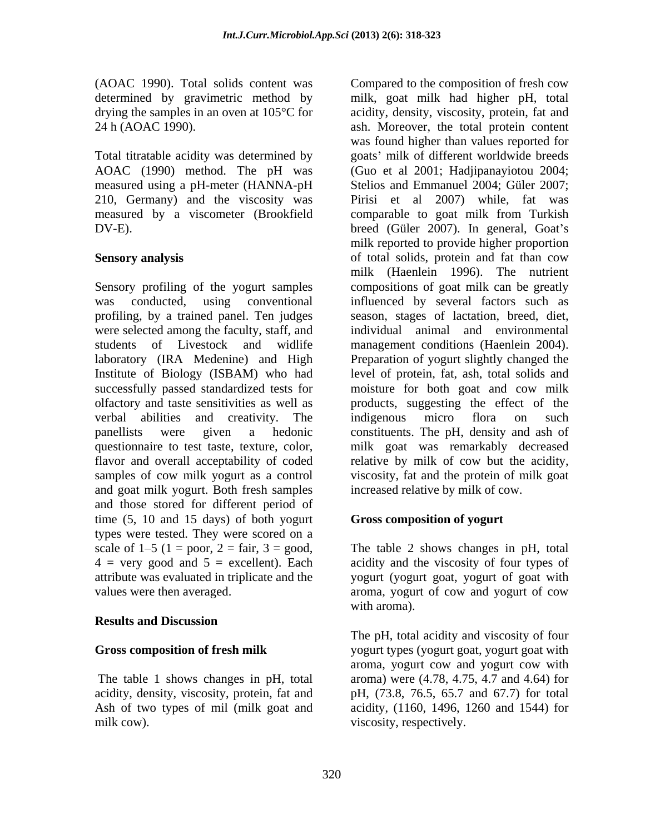determined by gravimetric method by

Sensory profiling of the yogurt samples were selected among the faculty, staff, and olfactory and taste sensitivities as well as and goat milk yogurt. Both fresh samples and those stored for different period of time (5, 10 and 15 days) of both yogurt types were tested. They were scored on a scale of  $1-5$  ( $1 = poor$ ,  $2 = fair$ ,  $3 = good$ , The table 2 shows changes in pH, total  $4 = very good$  and  $5 = excellent$ ). Each acidity and the viscosity of four types of attribute was evaluated in triplicate and the yogurt (yogurt goat, yogurt of goat with values were then averaged. aroma, yogurt of cow and yogurt of cow

# **Results and Discussion**

(AOAC 1990). Total solids content was Compared to the composition of fresh cow drying the samples in an oven at 105°C for acidity, density, viscosity, protein, fat and 24 h (AOAC 1990). ash. Moreover, the total protein content Total titratable acidity was determined by goats' milk of different worldwide breeds AOAC (1990) method. The pH was (Guo et al 2001; Hadjipanayiotou 2004; measured using a pH-meter (HANNA-pH Stelios and Emmanuel 2004; Güler 2007; 210, Germany) and the viscosity was Pirisi et al 2007) while, fat was measured by a viscometer (Brookfield comparable to goat milk from Turkish DV-E). breed (Güler 2007). In general, Goat's **Sensory analysis** of total solids, protein and fat than cow was conducted, using conventional influenced by several factors such as profiling, by a trained panel. Ten judges season, stages of lactation, breed, diet, students of Livestock and widlife management conditions (Haenlein 2004). laboratory (IRA Medenine) and High Preparation of yogurt slightly changed the Institute of Biology (ISBAM) who had level of protein, fat, ash, total solids and successfully passed standardized tests for moisture for both goat and cow milk verbal abilities and creativity. The indigenous micro flora on such panellists were given a hedonic constituents. The pH, density and ash of questionnaire to test taste, texture, color, milk goat was remarkably decreased flavor and overall acceptability of coded relative by milk of cow but the acidity, samples of cow milk yogurt as a control viscosity, fat and the protein of milk goat milk, goat milk had higher pH, total was found higher than values reported for milk reported to provide higher proportion milk (Haenlein 1996). The nutrient compositions of goat milk can be greatly individual animal and environmental products, suggesting the effect of the indigenous micro flora on such increased relative by milk of cow.

# **Gross composition of yogurt**

The table 2 shows changes in pH, total acidity and the viscosity of four types of with aroma).

**Gross composition of fresh milk** yogurt types (yogurt goat, yogurt goat with The table 1 shows changes in pH, total aroma) were  $(4.78, 4.75, 4.7, 4.7)$  and  $(4.64)$  for acidity, density, viscosity, protein, fat and pH, (73.8, 76.5, 65.7 and 67.7) for total Ash of two types of mil (milk goat and acidity, (1160, 1496, 1260 and 1544) for milk cow). The viscosity, respectively. The pH, total acidity and viscosity of four aroma, yogurt cow and yogurt cow with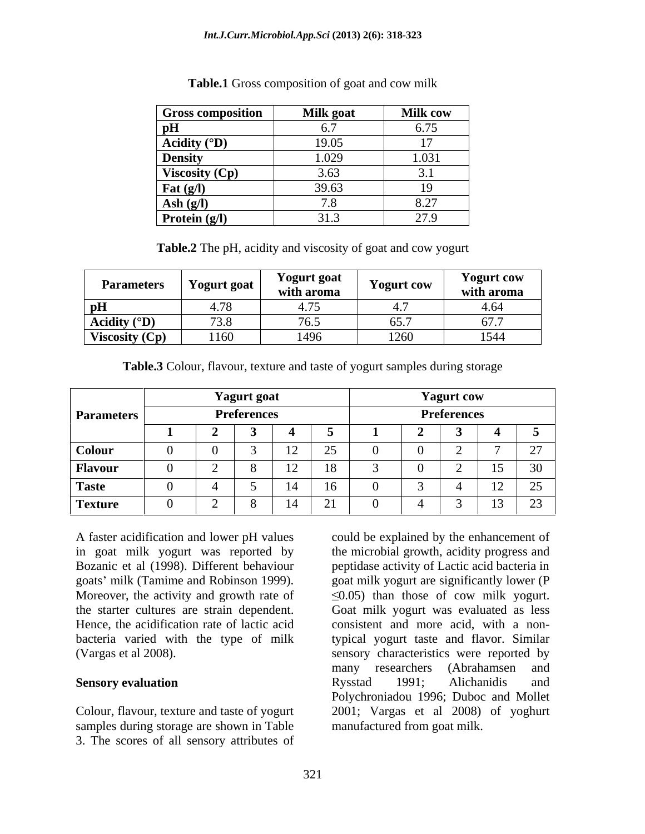| <b>Gross composition</b>      | <b>Milk</b> goat          | <b>Milk cow</b>  |
|-------------------------------|---------------------------|------------------|
| pH                            | $\sim$ $\sim$<br>U.1      | 6.75<br><u>.</u> |
| Acidity $({}^{\circ}{\bf D})$ | 19.05                     |                  |
| <b>Density</b>                | 1.029                     | 1.031            |
| Viscosity (Cp)                | 3.63                      |                  |
| Fat $(g/l)$                   | 39.63                     |                  |
| Ash $(g/l)$                   |                           |                  |
| Protein (g/l)                 | $\bigcap_{i=1}^n$<br>J1.5 | 27.9             |

**Table.1** Gross composition of goat and cow milk

**Table.2** The pH, acidity and viscosity of goat and cow yogurt

| <b>Parameters</b>     | $  -$<br>Yogurt goat         | Yogurt goat<br>with aroma                    | <b>Yogurt cow</b> | <b>Yogurt cow</b><br>with aroma |
|-----------------------|------------------------------|----------------------------------------------|-------------------|---------------------------------|
| --<br>- DH            | $\sim$                       | $\overline{a}$ $\overline{a}$ $\overline{a}$ | $\sqrt{2}$<br>᠇., | 4.64                            |
| Acidity $(^{\circ}D)$ | $\sqrt{2}$ $\sqrt{2}$<br>J.0 | $\overline{z}$                               | 65.7              | 677<br><u>v , , ,</u>           |
| Viscosity (Cp)        | 1160                         | 1470                                         | 101<br>⊥ ←∪∖      | 1544                            |

**Table.3** Colour, flavour, texture and taste of yogurt samples during storage

|                   | <b>Yagurt</b> goat |  |  |                              |                                           |  | <b>Yagurt</b> cow |  |                |                                           |
|-------------------|--------------------|--|--|------------------------------|-------------------------------------------|--|-------------------|--|----------------|-------------------------------------------|
| <b>Parameters</b> | <b>Preferences</b> |  |  |                              | Preferences                               |  |                   |  |                |                                           |
|                   |                    |  |  |                              |                                           |  |                   |  |                |                                           |
| Colour            |                    |  |  | $1^{\circ}$<br>$\frac{1}{2}$ | $\sim$ $\sim$<br>$\overline{\phantom{m}}$ |  |                   |  |                | $\sim$ $-$                                |
| <b>Flavour</b>    |                    |  |  | 12<br>$\perp$                | 18                                        |  |                   |  | $\overline{1}$ | $\sim$ $\sim$<br>$\sim$ $\sim$            |
| <b>Taste</b>      |                    |  |  | 14                           | 16                                        |  |                   |  |                | $\sim$ $\sim$<br>$\overline{\phantom{a}}$ |
| <b>Texture</b>    |                    |  |  | 14                           | $\sim$ $\sim$<br>$\sim$ 1                 |  |                   |  | $\sim$<br>1J   | $\sim$<br>ر بے                            |

Colour, flavour, texture and taste of yogurt samples during storage are shown in Table 3. The scores of all sensory attributes of

A faster acidification and lower pH values could be explained by the enhancement of in goat milk yogurt was reported by the microbial growth, acidity progress and Bozanic et al (1998). Different behaviour peptidase activity of Lactic acid bacteria in goats milk (Tamime and Robinson 1999). goat milk yogurt are significantly lower (P Moreover, the activity and growth rate of  $\leq 0.05$  than those of cow milk yogurt. the starter cultures are strain dependent. Goat milk yogurt was evaluated as less Hence, the acidification rate of lactic acid consistent and more acid, with a nonbacteria varied with the type of milk typical yogurt taste and flavor. Similar (Vargas et al 2008). sensory characteristics were reported by **Sensory evaluation Rysstad** 1991; Alichanidis and many researchers (Abrahamsen and Rysstad 1991; Alichanidis and Polychroniadou 1996; Duboc and Mollet 2001; Vargas et al 2008) of yoghurt manufactured from goat milk.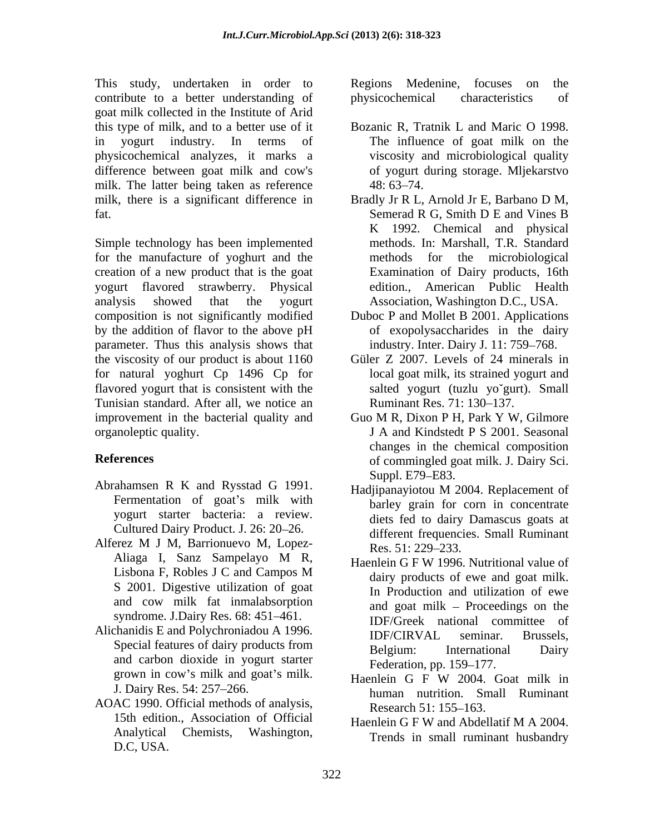This study, undertaken in order to Regions Medenine, focuses on the contribute to a better understanding of goat milk collected in the Institute of Arid this type of milk, and to a better use of it Bozanic R, Tratnik L and Maric O 1998. in yogurt industry. In terms of The influence of goat milk on the physicochemical analyzes, it marks a difference between goat milk and cow's milk. The latter being taken as reference 48:63–74. milk, there is a significant difference in Bradly Jr R L, Arnold Jr E, Barbano D M, fat. Semerad R G, Smith D E and Vines B

Simple technology has been implemented for the manufacture of yoghurt and the yogurt flavored strawberry. Physical analysis showed that the yogurt Association, Washington D.C., USA. composition is not significantly modified Duboc P and Mollet B 2001. Applications by the addition of flavor to the above pH parameter. Thus this analysis shows that the viscosity of our product is about 1160 for natural yoghurt Cp 1496 Cp for flavored yogurt that is consistent with the Tunisian standard. After all, we notice an improvement in the bacterial quality and Guo M R, Dixon P H, Park Y W, Gilmore

- Abrahamsen R K and Rysstad G 1991.<br>
Hadjipanayiotou M 2004. Replacement of Fermentation of goat's milk with yogurt starter bacteria: a review. Cultured Dairy Product. J. 26: 20–26.
- Alferez M J M, Barrionuevo M, Lopez- $R_{PS}$  51. 229–233 Aliaga I, Sanz Sampelayo M R, Haenlein G F W 1996 Nutritional value of S 2001. Digestive utilization of goat and cow milk fat inmalabsorption syndrome. J.Dairy Res. 68: 451–461.
- Alichanidis E and Polychroniadou A 1996. **IDF/CIRVAL** seminar. Brussels, grown in cow's milk and goat's milk. Haenlein G F W 2004. Goat milk in
- AOAC 1990. Official methods of analysis,<br>Research 51: 155–163. 15th edition., Association of Official D.C, USA.

Regions Medenine, focuses on the physicochemical characteristics of

- viscosity and microbiological quality of yogurt during storage. Mljekarstvo 48: 63–74.
- creation of a new product that is the goat Examination of Dairy products, 16th Bradly Jr R L, Arnold Jr E, Barbano D M,<br>Semerad R G, Smith D E and Vines B K 1992. Chemical and physical methods. In: Marshall, T.R. Standard methods for the microbiological edition., American Public Health
	- of exopolysaccharides in the dairy industry. Inter. Dairy J. 11: 759–768.
	- Güler Z 2007. Levels of 24 minerals in local goat milk, its strained yogurt and salted yogurt (tuzlu yo`gurt). Small Ruminant Res. 71: 130–137.
- organoleptic quality. J A and Kindstedt P S 2001. Seasonal **References** of commingled goat milk. J. Dairy Sci. Guo M R, Dixon P H, Park Y W, Gilmore changes in the chemical composition Suppl. E79–E83.
	- Hadjipanayiotou M 2004. Replacement of barley grain for corn in concentrate diets fed to dairy Damascus goats at different frequencies. Small Ruminant Res. 51: 229–233.
	- Lisbona F, Robles J C and Campos M dairy products of ewe and goat milk Special features of dairy products from Belgium Relative Letternational Dairy Special reatures of dairy products from<br>and carbon dioxide in yogurt starter<br>rederation pp. 150–177 Haenlein G F W 1996. Nutritional value of dairy products of ewe and goat milk. In Production and utilization of ewe and goat milk  $-$  Proceedings on the IDF/Greek national committee of IDF/CIRVAL seminar. Brussels, Belgium: International Dairy Federation, pp. 159–177.
	- J. Dairy Res. 54: 257 266. human nutrition. Small Ruminant Haenlein G F W 2004. Goat milk in Research 51: 155–163.
	- Analytical Chemists, Washington, Trends in small ruminant husbandry Haenlein G F W and Abdellatif M A 2004.